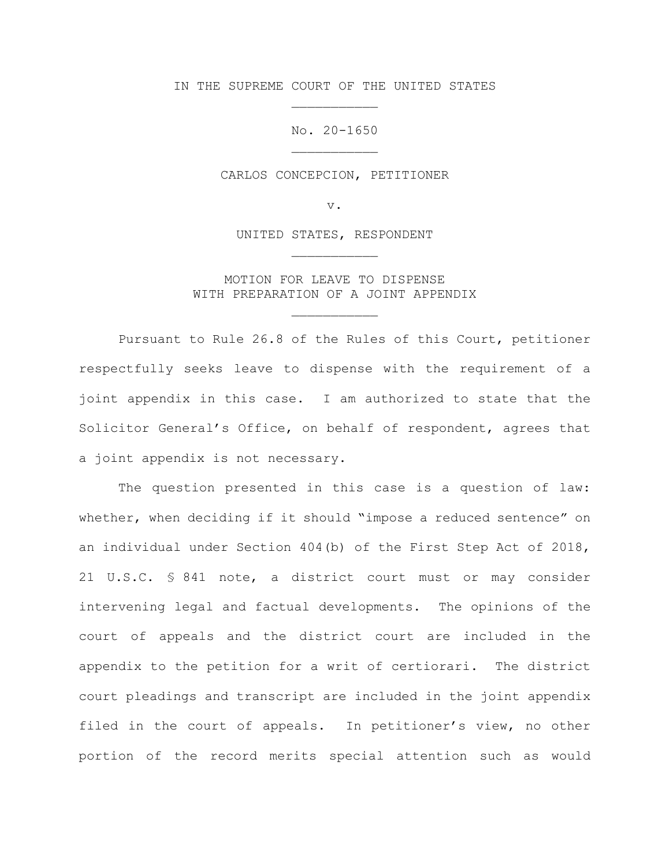IN THE SUPREME COURT OF THE UNITED STATES \_\_\_\_\_\_\_\_\_\_\_

> No. 20-1650 \_\_\_\_\_\_\_\_\_\_\_

CARLOS CONCEPCION, PETITIONER

v.

UNITED STATES, RESPONDENT \_\_\_\_\_\_\_\_\_\_\_

MOTION FOR LEAVE TO DISPENSE WITH PREPARATION OF A JOINT APPENDIX

\_\_\_\_\_\_\_\_\_\_\_

Pursuant to Rule 26.8 of the Rules of this Court, petitioner respectfully seeks leave to dispense with the requirement of a joint appendix in this case. I am authorized to state that the Solicitor General's Office, on behalf of respondent, agrees that a joint appendix is not necessary.

The question presented in this case is a question of law: whether, when deciding if it should "impose a reduced sentence" on an individual under Section 404(b) of the First Step Act of 2018, 21 U.S.C. § 841 note, a district court must or may consider intervening legal and factual developments. The opinions of the court of appeals and the district court are included in the appendix to the petition for a writ of certiorari. The district court pleadings and transcript are included in the joint appendix filed in the court of appeals. In petitioner's view, no other portion of the record merits special attention such as would